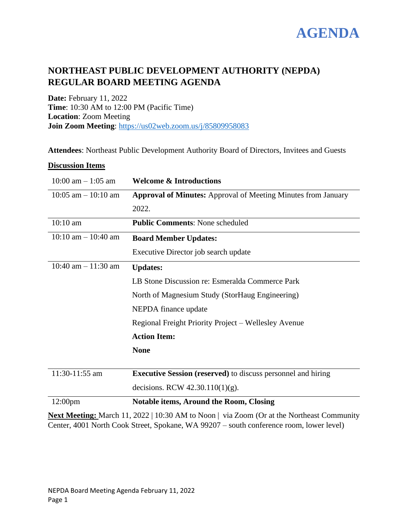

# **NORTHEAST PUBLIC DEVELOPMENT AUTHORITY (NEPDA) REGULAR BOARD MEETING AGENDA**

**Date:** February 11, 2022 **Time**: 10:30 AM to 12:00 PM (Pacific Time) **Location**: Zoom Meeting **Join Zoom Meeting**:<https://us02web.zoom.us/j/85809958083>

**Attendees**: Northeast Public Development Authority Board of Directors, Invitees and Guests

## **Discussion Items**

| $10:00$ am $-1:05$ am   | <b>Welcome &amp; Introductions</b>                                   |
|-------------------------|----------------------------------------------------------------------|
| $10:05$ am $-10:10$ am  | <b>Approval of Minutes:</b> Approval of Meeting Minutes from January |
|                         | 2022.                                                                |
| $10:10$ am              | <b>Public Comments: None scheduled</b>                               |
| $10:10$ am $- 10:40$ am | <b>Board Member Updates:</b>                                         |
|                         | Executive Director job search update                                 |
| 10:40 am $- 11:30$ am   | <b>Updates:</b>                                                      |
|                         | LB Stone Discussion re: Esmeralda Commerce Park                      |
|                         | North of Magnesium Study (StorHaug Engineering)                      |
|                         | NEPDA finance update                                                 |
|                         | Regional Freight Priority Project – Wellesley Avenue                 |
|                         | <b>Action Item:</b>                                                  |
|                         | <b>None</b>                                                          |
|                         |                                                                      |
| 11:30-11:55 am          | <b>Executive Session (reserved)</b> to discuss personnel and hiring  |
|                         | decisions. RCW $42.30.110(1)(g)$ .                                   |
| 12:00pm                 | <b>Notable items, Around the Room, Closing</b>                       |

**Next Meeting:** March 11, 2022 | 10:30 AM to Noon | via Zoom (Or at the Northeast Community Center, 4001 North Cook Street, Spokane, WA 99207 – south conference room, lower level)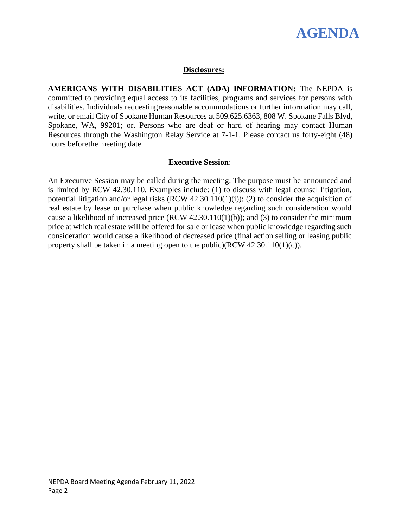

## **Disclosures:**

**AMERICANS WITH DISABILITIES ACT (ADA) INFORMATION:** The NEPDA is committed to providing equal access to its facilities, programs and services for persons with disabilities. Individuals requestingreasonable accommodations or further information may call, write, or email City of Spokane Human Resources at 509.625.6363, 808 W. Spokane Falls Blvd, Spokane, WA, 99201; or. Persons who are deaf or hard of hearing may contact Human Resources through the Washington Relay Service at 7-1-1. Please contact us forty-eight (48) hours beforethe meeting date.

## **Executive Session**:

An Executive Session may be called during the meeting. The purpose must be announced and is limited by RCW 42.30.110. Examples include: (1) to discuss with legal counsel litigation, potential litigation and/or legal risks (RCW 42.30.110(1)(i)); (2) to consider the acquisition of real estate by lease or purchase when public knowledge regarding such consideration would cause a likelihood of increased price (RCW 42.30.110(1)(b)); and (3) to consider the minimum price at which real estate will be offered for sale or lease when public knowledge regarding such consideration would cause a likelihood of decreased price (final action selling or leasing public property shall be taken in a meeting open to the public)(RCW 42.30.110(1)(c)).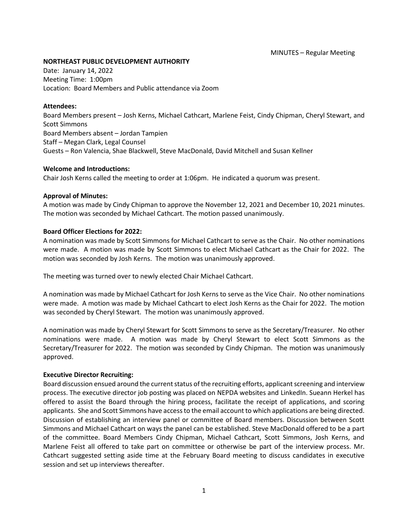### **NORTHEAST PUBLIC DEVELOPMENT AUTHORITY**

Date: January 14, 2022 Meeting Time: 1:00pm Location: Board Members and Public attendance via Zoom

### **Attendees:**

Board Members present – Josh Kerns, Michael Cathcart, Marlene Feist, Cindy Chipman, Cheryl Stewart, and Scott Simmons Board Members absent – Jordan Tampien Staff – Megan Clark, Legal Counsel Guests – Ron Valencia, Shae Blackwell, Steve MacDonald, David Mitchell and Susan Kellner

### **Welcome and Introductions:**

Chair Josh Kerns called the meeting to order at 1:06pm. He indicated a quorum was present.

## **Approval of Minutes:**

A motion was made by Cindy Chipman to approve the November 12, 2021 and December 10, 2021 minutes. The motion was seconded by Michael Cathcart. The motion passed unanimously.

## **Board Officer Elections for 2022:**

A nomination was made by Scott Simmons for Michael Cathcart to serve as the Chair. No other nominations were made. A motion was made by Scott Simmons to elect Michael Cathcart as the Chair for 2022. The motion was seconded by Josh Kerns. The motion was unanimously approved.

The meeting was turned over to newly elected Chair Michael Cathcart.

A nomination was made by Michael Cathcart for Josh Kerns to serve as the Vice Chair. No other nominations were made. A motion was made by Michael Cathcart to elect Josh Kerns as the Chair for 2022. The motion was seconded by Cheryl Stewart. The motion was unanimously approved.

A nomination was made by Cheryl Stewart for Scott Simmons to serve as the Secretary/Treasurer. No other nominations were made. A motion was made by Cheryl Stewart to elect Scott Simmons as the Secretary/Treasurer for 2022. The motion was seconded by Cindy Chipman. The motion was unanimously approved.

## **Executive Director Recruiting:**

Board discussion ensued around the current status of the recruiting efforts, applicant screening and interview process. The executive director job posting was placed on NEPDA websites and LinkedIn. Sueann Herkel has offered to assist the Board through the hiring process, facilitate the receipt of applications, and scoring applicants. She and Scott Simmons have access to the email account to which applications are being directed. Discussion of establishing an interview panel or committee of Board members. Discussion between Scott Simmons and Michael Cathcart on ways the panel can be established. Steve MacDonald offered to be a part of the committee. Board Members Cindy Chipman, Michael Cathcart, Scott Simmons, Josh Kerns, and Marlene Feist all offered to take part on committee or otherwise be part of the interview process. Mr. Cathcart suggested setting aside time at the February Board meeting to discuss candidates in executive session and set up interviews thereafter.